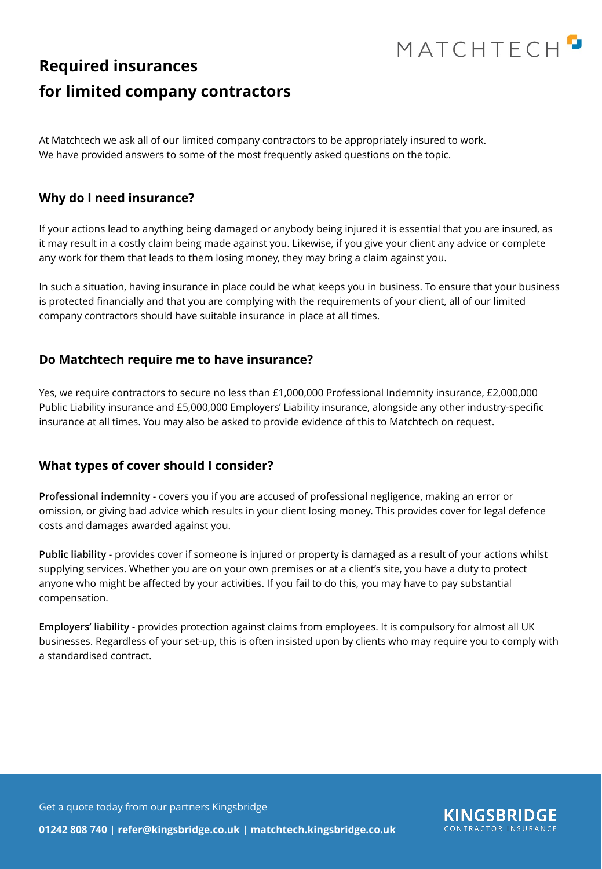

## **Required insurances for limited company contractors**

At Matchtech we ask all of our limited company contractors to be appropriately insured to work. We have provided answers to some of the most frequently asked questions on the topic.

### **Why do I need insurance?**

If your actions lead to anything being damaged or anybody being injured it is essential that you are insured, as it may result in a costly claim being made against you. Likewise, if you give your client any advice or complete any work for them that leads to them losing money, they may bring a claim against you.

In such a situation, having insurance in place could be what keeps you in business. To ensure that your business is protected financially and that you are complying with the requirements of your client, all of our limited company contractors should have suitable insurance in place at all times.

### **Do Matchtech require me to have insurance?**

Yes, we require contractors to secure no less than £1,000,000 Professional Indemnity insurance, £2,000,000 Public Liability insurance and £5,000,000 Employers' Liability insurance, alongside any other industry-specific insurance at all times. You may also be asked to provide evidence of this to Matchtech on request.

## **What types of cover should I consider?**

**Professional indemnity** - covers you if you are accused of professional negligence, making an error or omission, or giving bad advice which results in your client losing money. This provides cover for legal defence costs and damages awarded against you.

**Public liability** - provides cover if someone is injured or property is damaged as a result of your actions whilst supplying services. Whether you are on your own premises or at a client's site, you have a duty to protect anyone who might be affected by your activities. If you fail to do this, you may have to pay substantial compensation.

**Employers' liability** - provides protection against claims from employees. It is compulsory for almost all UK businesses. Regardless of your set-up, this is often insisted upon by clients who may require you to comply with a standardised contract.

Get a quote today from our partners Kingsbridge



**01242 808 740 | refer@kingsbridge.co.uk | [matchtech.kingsbridge.co.uk](http://matchtech.kingsbridge.co.uk)**